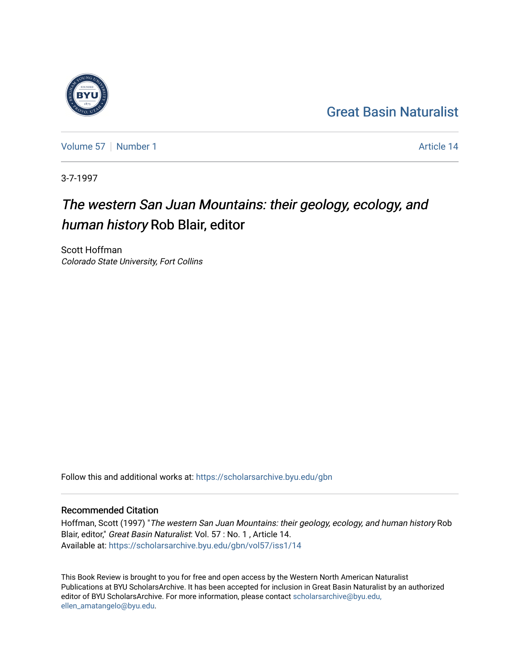## [Great Basin Naturalist](https://scholarsarchive.byu.edu/gbn)

[Volume 57](https://scholarsarchive.byu.edu/gbn/vol57) | [Number 1](https://scholarsarchive.byu.edu/gbn/vol57/iss1) Article 14

3-7-1997

## The western San Juan Mountains: their geology, ecology, and human history Rob Blair, editor

Scott Hoffman Colorado State University, Fort Collins

Follow this and additional works at: [https://scholarsarchive.byu.edu/gbn](https://scholarsarchive.byu.edu/gbn?utm_source=scholarsarchive.byu.edu%2Fgbn%2Fvol57%2Fiss1%2F14&utm_medium=PDF&utm_campaign=PDFCoverPages) 

## Recommended Citation

Hoffman, Scott (1997) "The western San Juan Mountains: their geology, ecology, and human history Rob Blair, editor," Great Basin Naturalist: Vol. 57 : No. 1 , Article 14. Available at: [https://scholarsarchive.byu.edu/gbn/vol57/iss1/14](https://scholarsarchive.byu.edu/gbn/vol57/iss1/14?utm_source=scholarsarchive.byu.edu%2Fgbn%2Fvol57%2Fiss1%2F14&utm_medium=PDF&utm_campaign=PDFCoverPages) 

This Book Review is brought to you for free and open access by the Western North American Naturalist Publications at BYU ScholarsArchive. It has been accepted for inclusion in Great Basin Naturalist by an authorized editor of BYU ScholarsArchive. For more information, please contact [scholarsarchive@byu.edu,](mailto:scholarsarchive@byu.edu,%20ellen_amatangelo@byu.edu) [ellen\\_amatangelo@byu.edu](mailto:scholarsarchive@byu.edu,%20ellen_amatangelo@byu.edu).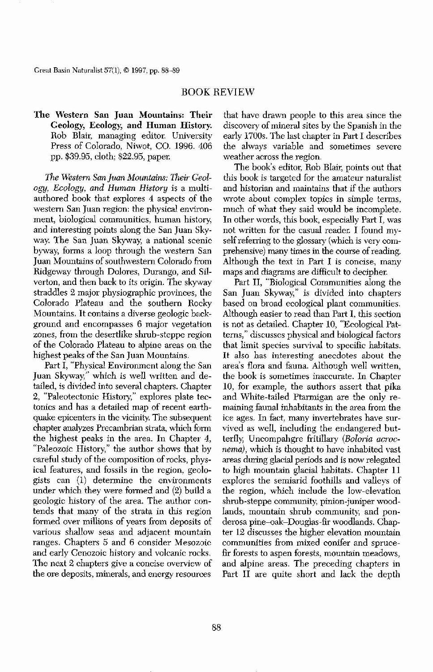Great Basin Naturalist 57(1), © 1997, pp. 88-89

## BOOK REVIEW

The Western San Juan Mountains: Their Geology, Ecology, and Human History. Rob Blair, managing editor. University Press of Colorado, Niwot, CO. 1996. 406 pp. \$39.95, cloth; \$22.95, paper.

*The Westem San Juan Mountains: Their Geology, Ecology, and Human History* is a multiauthored book that explores 4 aspects of the western San Juan region: the physical environment, biological communities, human history, and interesting points along the San Juan Skyway. The San Juan Skyway, a national scenic byway, forms a loop through the western San Juan Mountains of southwestern Colorado from Ridgeway through Dolores, Durango, and Silverton, and then back to its origin. The skyway straddles 2 major physiographic provinces, the Colorado Plateau and the southern Rocky Mountains. It contains a diverse geologic background and encompasses 6 major vegetation zones, from the desertlike shrub-steppe region of the Colorado Plateau to alpioe areas on the highest peaks of the San Juan Mountains. Part I, "Physical Environment along the San Juan Skyway," which is well written and detailed, is divided into several chapters. Chapter 2, "Paleotectonic History," explores plate tectonics and has a detailed map of recent earthquake epicenters in the vicinity. The subsequent chapter analyzes Precambrian strata, which form the highest peaks in the area. In Chapter 4, "Paleozoic History," the author shows that by careful study of the composition of rocks, physical features, and fossils in the region, geologists can (1) determine the environments under which they were formed and (2) build a geologic history of the area. The author contends that many of the strata in this region formed over millions of years from deposits of various shallow seas and adjacent mountain ranges. Chapters 5 and 6 consider Mesozoic and early Cenozoic history and volcanic rocks. The next 2 chapters give a concise overview of the ore deposits, minerals, and energy resourees



that have drawn people to this area since the discovery of mineral sites by the Spanish in the early 1700s. The last chapter in Part I describes the always variable and sometimes severe weather across the region.

The book's editor, Rob Blair, points out that this book is targeted for the amateur naturalist and historian and maintains that if the authors wrote about complex topics in simple terms, much of what they said would be incomplete. In other words, this book, especially Part I, was not written for the casual reader. I found myself referring to the glossary (which is very comprehensive) many times in the course of reading. Although the text in Part I is concise, many maps and diagrams are difficult to decipher.

Part II, "Biological Communities along the San Juan Skyway," is divided into chapters based on broad ecological plant communities. Although easier to read than Part I, this section is not as detailed. Chapter 10, "Ecological Patterns," discusses physical and biological factors that limit species survival to specific habitats. It also has interesting anecdotes about the area's flora and fauna. Although well written, the book is sometimes inaccurate. In Chapter 10, for example, the authors assert that pika and White-tailed Ptarmigan are the only remaining faunal inhabitants in the area from the ice ages. In fact, many invertebrates have survived as well, including the endangered butterfly, Uncompahgre fritillary *(Boloria aemenema),* which is thought to have inhabited vast areas during glacial periods and is now relegated to high mountain glacial habitats. Chapter 11 explores the semiarid foothills and valleys of the region, which include the low-elevation shrub-steppe community, pinion-juniper woodlands, mountain shrub community, and ponderosa pine-oak-Douglas-fir woodlands. Chapter 12 discusses the higher elevation mountain communities from mixed conifer and sprucefir forests to aspen forests, mountain meadows, and alpine areas. The preceding chapters in Part II are quite short and lack the depth